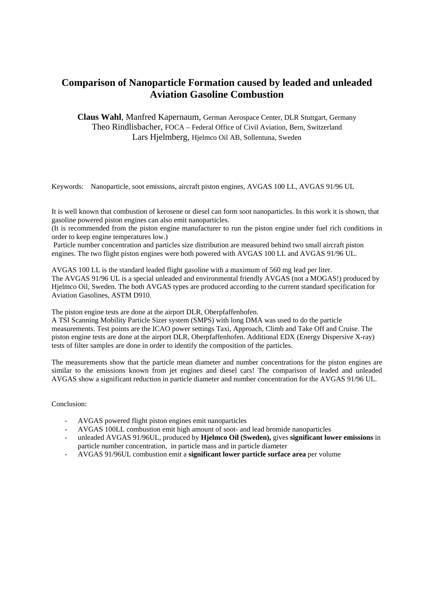## **Comparison of Nanoparticle Formation caused by leaded and unleaded Aviation Gasoline Combustion**

**Claus Wahl**, Manfred Kapernaum, German Aerospace Center, DLR Stuttgart, Germany Theo Rindlisbacher, FOCA – Federal Office of Civil Aviation, Bern, Switzerland Lars Hjelmberg, Hjelmco Oil AB, Sollentuna, Sweden

Keywords: Nanoparticle, soot emissions, aircraft piston engines, AVGAS 100 LL, AVGAS 91/96 UL

It is well known that combustion of kerosene or diesel can form soot nanoparticles. In this work it is shown, that gasoline powered piston engines can also emit nanoparticles.

(It is recommended from the piston engine manufacturer to run the piston engine under fuel rich conditions in order to keep engine temperatures low.)

 Particle number concentration and particles size distribution are measured behind two small aircraft piston engines. The two flight piston engines were both powered with AVGAS 100 LL and AVGAS 91/96 UL.

AVGAS 100 LL is the standard leaded flight gasoline with a maximum of 560 mg lead per liter. The AVGAS 91/96 UL is a special unleaded and environmental friendly AVGAS (not a MOGAS!) produced by Hjelmco Oil, Sweden. The both AVGAS types are produced according to the current standard specification for Aviation Gasolines, ASTM D910.

The piston engine tests are done at the airport DLR, Oberpfaffenhofen.

A TSI Scanning Mobility Particle Sizer system (SMPS) with long DMA was used to do the particle measurements. Test points are the ICAO power settings Taxi, Approach, Climb and Take Off and Cruise. The piston engine tests are done at the airport DLR, Oberpfaffenhofen. Additional EDX (Energy Dispersive X-ray) tests of filter samples are done in order to identify the composition of the particles.

The measurements show that the particle mean diameter and number concentrations for the piston engines are similar to the emissions known from jet engines and diesel cars! The comparison of leaded and unleaded AVGAS show a significant reduction in particle diameter and number concentration for the AVGAS 91/96 UL.

Conclusion:

- AVGAS powered flight piston engines emit nanoparticles
- AVGAS 100LL combustion emit high amount of soot- and lead bromide nanoparticles
- unleaded AVGAS 91/96UL, produced by **Hjelmco Oil (Sweden),** gives **significant lower emissions** in particle number concentration, in particle mass and in particle diameter
- AVGAS 91/96UL combustion emit a **significant lower particle surface area** per volume